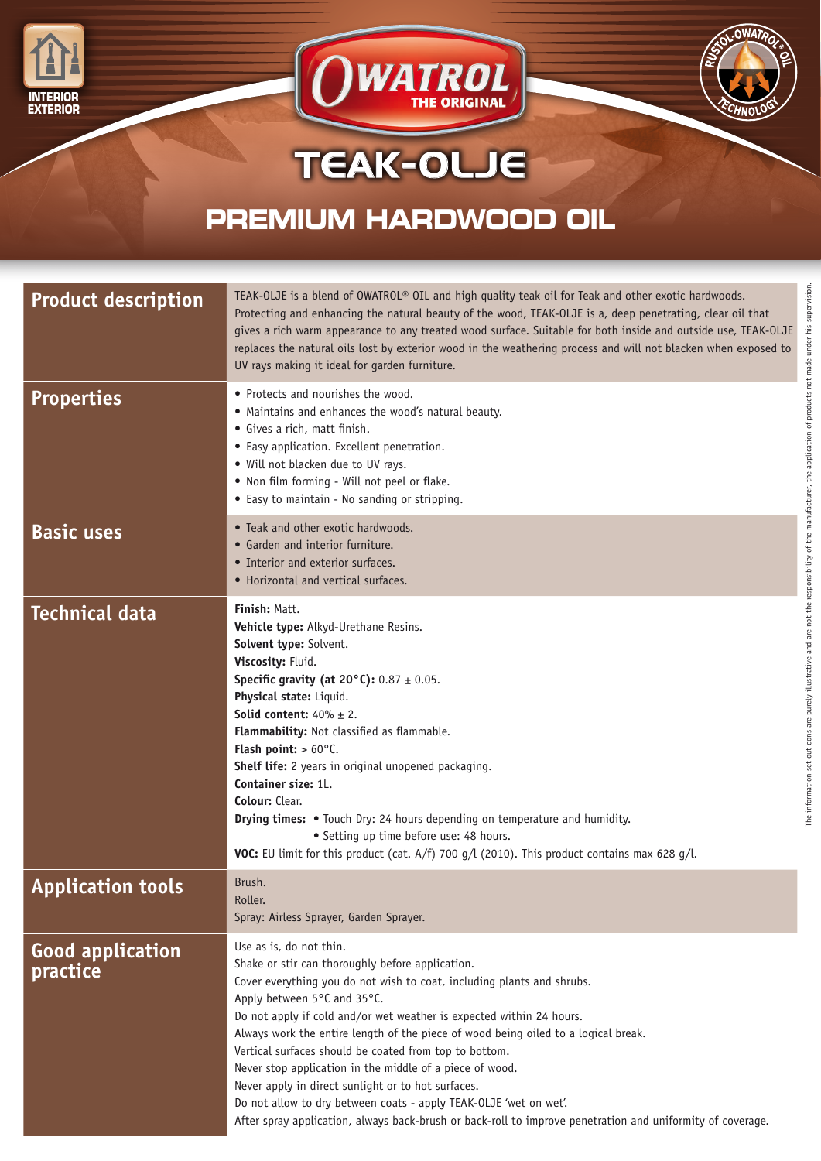





## TEAK-OLJE

## **PREMIUM HARDWOOD OIL**

| <b>Product description</b>          | TEAK-OLJE is a blend of OWATROL® OIL and high quality teak oil for Teak and other exotic hardwoods.<br>Protecting and enhancing the natural beauty of the wood, TEAK-OLJE is a, deep penetrating, clear oil that<br>gives a rich warm appearance to any treated wood surface. Suitable for both inside and outside use, TEAK-OLJE<br>replaces the natural oils lost by exterior wood in the weathering process and will not blacken when exposed to<br>UV rays making it ideal for garden furniture.                                                                                                                                                                                                              |
|-------------------------------------|-------------------------------------------------------------------------------------------------------------------------------------------------------------------------------------------------------------------------------------------------------------------------------------------------------------------------------------------------------------------------------------------------------------------------------------------------------------------------------------------------------------------------------------------------------------------------------------------------------------------------------------------------------------------------------------------------------------------|
| <b>Properties</b>                   | • Protects and nourishes the wood.<br>• Maintains and enhances the wood's natural beauty.<br>• Gives a rich, matt finish.<br>• Easy application. Excellent penetration.<br>. Will not blacken due to UV rays.<br>. Non film forming - Will not peel or flake.<br>• Easy to maintain - No sanding or stripping.                                                                                                                                                                                                                                                                                                                                                                                                    |
| <b>Basic uses</b>                   | • Teak and other exotic hardwoods.<br>• Garden and interior furniture.<br>• Interior and exterior surfaces.<br>• Horizontal and vertical surfaces.                                                                                                                                                                                                                                                                                                                                                                                                                                                                                                                                                                |
| <b>Technical data</b>               | Finish: Matt.<br>Vehicle type: Alkyd-Urethane Resins.<br>Solvent type: Solvent.<br>Viscosity: Fluid.<br><b>Specific gravity (at 20°C):</b> $0.87 \pm 0.05$ .<br>Physical state: Liquid.<br><b>Solid content:</b> $40\% \pm 2$ .<br>Flammability: Not classified as flammable.<br>Flash point: $> 60^{\circ}$ C.<br>Shelf life: 2 years in original unopened packaging.<br>Container size: 1L.<br>Colour: Clear.<br>Drying times: • Touch Dry: 24 hours depending on temperature and humidity.<br>• Setting up time before use: 48 hours.<br><b>VOC:</b> EU limit for this product (cat. $A/f$ ) 700 g/l (2010). This product contains max 628 g/l.                                                                |
| <b>Application tools</b>            | Brush.<br>Roller.<br>Spray: Airless Sprayer, Garden Sprayer.                                                                                                                                                                                                                                                                                                                                                                                                                                                                                                                                                                                                                                                      |
| <b>Good application</b><br>practice | Use as is, do not thin.<br>Shake or stir can thoroughly before application.<br>Cover everything you do not wish to coat, including plants and shrubs.<br>Apply between 5°C and 35°C.<br>Do not apply if cold and/or wet weather is expected within 24 hours.<br>Always work the entire length of the piece of wood being oiled to a logical break.<br>Vertical surfaces should be coated from top to bottom.<br>Never stop application in the middle of a piece of wood.<br>Never apply in direct sunlight or to hot surfaces.<br>Do not allow to dry between coats - apply TEAK-OLJE 'wet on wet'.<br>After spray application, always back-brush or back-roll to improve penetration and uniformity of coverage. |